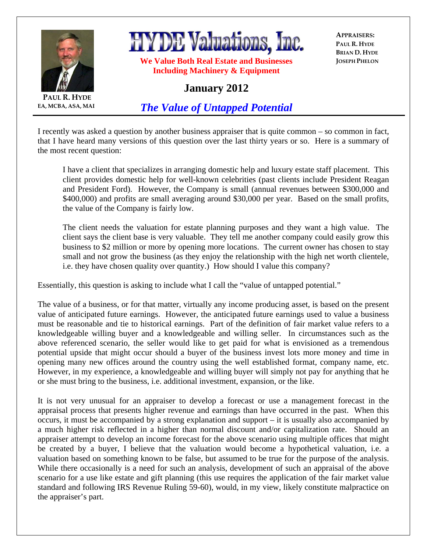

**PAUL R. HYDE EA, MCBA, ASA, MAI**

## **HYDE Valuations, Inc.**

**We Value Both Real Estate and Businesses Including Machinery & Equipment** 

**APPRAISERS: PAUL R. HYDE BRIAN D. HYDE JOSEPH PHELON**

## **January 2012**

*The Value of Untapped Potential*

I recently was asked a question by another business appraiser that is quite common – so common in fact, that I have heard many versions of this question over the last thirty years or so. Here is a summary of the most recent question:

I have a client that specializes in arranging domestic help and luxury estate staff placement. This client provides domestic help for well-known celebrities (past clients include President Reagan and President Ford). However, the Company is small (annual revenues between \$300,000 and \$400,000) and profits are small averaging around \$30,000 per year. Based on the small profits, the value of the Company is fairly low.

The client needs the valuation for estate planning purposes and they want a high value. The client says the client base is very valuable. They tell me another company could easily grow this business to \$2 million or more by opening more locations. The current owner has chosen to stay small and not grow the business (as they enjoy the relationship with the high net worth clientele, i.e. they have chosen quality over quantity.) How should I value this company?

Essentially, this question is asking to include what I call the "value of untapped potential."

The value of a business, or for that matter, virtually any income producing asset, is based on the present value of anticipated future earnings. However, the anticipated future earnings used to value a business must be reasonable and tie to historical earnings. Part of the definition of fair market value refers to a knowledgeable willing buyer and a knowledgeable and willing seller. In circumstances such as the above referenced scenario, the seller would like to get paid for what is envisioned as a tremendous potential upside that might occur should a buyer of the business invest lots more money and time in opening many new offices around the country using the well established format, company name, etc. However, in my experience, a knowledgeable and willing buyer will simply not pay for anything that he or she must bring to the business, i.e. additional investment, expansion, or the like.

It is not very unusual for an appraiser to develop a forecast or use a management forecast in the appraisal process that presents higher revenue and earnings than have occurred in the past. When this occurs, it must be accompanied by a strong explanation and support – it is usually also accompanied by a much higher risk reflected in a higher than normal discount and/or capitalization rate. Should an appraiser attempt to develop an income forecast for the above scenario using multiple offices that might be created by a buyer, I believe that the valuation would become a hypothetical valuation, i.e. a valuation based on something known to be false, but assumed to be true for the purpose of the analysis. While there occasionally is a need for such an analysis, development of such an appraisal of the above scenario for a use like estate and gift planning (this use requires the application of the fair market value standard and following IRS Revenue Ruling 59-60), would, in my view, likely constitute malpractice on the appraiser's part.